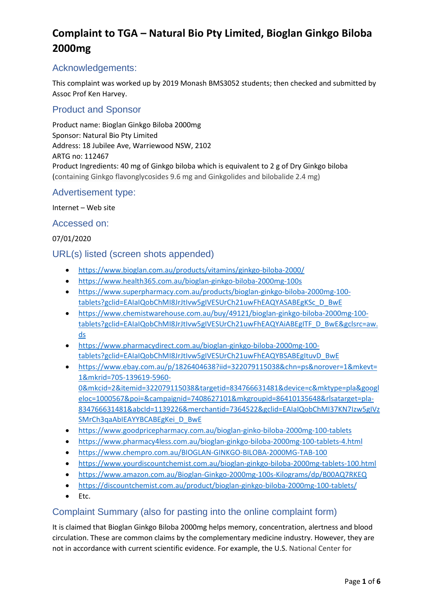### Acknowledgements:

This complaint was worked up by 2019 Monash BMS3052 students; then checked and submitted by Assoc Prof Ken Harvey.

### Product and Sponsor

Product name: Bioglan Ginkgo Biloba 2000mg Sponsor: Natural Bio Pty Limited Address: 18 Jubilee Ave, Warriewood NSW, 2102 ARTG no: 112467 Product Ingredients: 40 mg of Ginkgo biloba which is equivalent to 2 g of Dry Ginkgo biloba (containing Ginkgo flavonglycosides 9.6 mg and Ginkgolides and bilobalide 2.4 mg)

#### Advertisement type:

#### Internet – Web site

#### Accessed on:

#### 07/01/2020

#### URL(s) listed (screen shots appended)

- <https://www.bioglan.com.au/products/vitamins/ginkgo-biloba-2000/>
- <https://www.health365.com.au/bioglan-ginkgo-biloba-2000mg-100s>
- [https://www.superpharmacy.com.au/products/bioglan-ginkgo-biloba-2000mg-100](https://www.superpharmacy.com.au/products/bioglan-ginkgo-biloba-2000mg-100-tablets?gclid=EAIaIQobChMI8JrJtIvw5gIVESUrCh21uwFhEAQYASABEgKSc_D_BwE) [tablets?gclid=EAIaIQobChMI8JrJtIvw5gIVESUrCh21uwFhEAQYASABEgKSc\\_D\\_BwE](https://www.superpharmacy.com.au/products/bioglan-ginkgo-biloba-2000mg-100-tablets?gclid=EAIaIQobChMI8JrJtIvw5gIVESUrCh21uwFhEAQYASABEgKSc_D_BwE)
- [https://www.chemistwarehouse.com.au/buy/49121/bioglan-ginkgo-biloba-2000mg-100](https://www.chemistwarehouse.com.au/buy/49121/bioglan-ginkgo-biloba-2000mg-100-tablets?gclid=EAIaIQobChMI8JrJtIvw5gIVESUrCh21uwFhEAQYAiABEgITF_D_BwE&gclsrc=aw.ds) [tablets?gclid=EAIaIQobChMI8JrJtIvw5gIVESUrCh21uwFhEAQYAiABEgITF\\_D\\_BwE&gclsrc=aw.](https://www.chemistwarehouse.com.au/buy/49121/bioglan-ginkgo-biloba-2000mg-100-tablets?gclid=EAIaIQobChMI8JrJtIvw5gIVESUrCh21uwFhEAQYAiABEgITF_D_BwE&gclsrc=aw.ds) [ds](https://www.chemistwarehouse.com.au/buy/49121/bioglan-ginkgo-biloba-2000mg-100-tablets?gclid=EAIaIQobChMI8JrJtIvw5gIVESUrCh21uwFhEAQYAiABEgITF_D_BwE&gclsrc=aw.ds)
- [https://www.pharmacydirect.com.au/bioglan-ginkgo-biloba-2000mg-100](https://www.pharmacydirect.com.au/bioglan-ginkgo-biloba-2000mg-100-tablets?gclid=EAIaIQobChMI8JrJtIvw5gIVESUrCh21uwFhEAQYBSABEgItuvD_BwE) [tablets?gclid=EAIaIQobChMI8JrJtIvw5gIVESUrCh21uwFhEAQYBSABEgItuvD\\_BwE](https://www.pharmacydirect.com.au/bioglan-ginkgo-biloba-2000mg-100-tablets?gclid=EAIaIQobChMI8JrJtIvw5gIVESUrCh21uwFhEAQYBSABEgItuvD_BwE)
- [https://www.ebay.com.au/p/1826404638?iid=322079115038&chn=ps&norover=1&mkevt=](https://www.ebay.com.au/p/1826404638?iid=322079115038&chn=ps&norover=1&mkevt=1&mkrid=705-139619-5960-0&mkcid=2&itemid=322079115038&targetid=834766631481&device=c&mktype=pla&googleloc=1000567&poi=&campaignid=7408627101&mkgroupid=86410135648&rlsatarget=pla-834766631481&abcId=1139226&merchantid=7364522&gclid=EAIaIQobChMI37KN7Izw5gIVzSMrCh3qaAbIEAYYBCABEgKei_D_BwE) [1&mkrid=705-139619-5960-](https://www.ebay.com.au/p/1826404638?iid=322079115038&chn=ps&norover=1&mkevt=1&mkrid=705-139619-5960-0&mkcid=2&itemid=322079115038&targetid=834766631481&device=c&mktype=pla&googleloc=1000567&poi=&campaignid=7408627101&mkgroupid=86410135648&rlsatarget=pla-834766631481&abcId=1139226&merchantid=7364522&gclid=EAIaIQobChMI37KN7Izw5gIVzSMrCh3qaAbIEAYYBCABEgKei_D_BwE) [0&mkcid=2&itemid=322079115038&targetid=834766631481&device=c&mktype=pla&googl](https://www.ebay.com.au/p/1826404638?iid=322079115038&chn=ps&norover=1&mkevt=1&mkrid=705-139619-5960-0&mkcid=2&itemid=322079115038&targetid=834766631481&device=c&mktype=pla&googleloc=1000567&poi=&campaignid=7408627101&mkgroupid=86410135648&rlsatarget=pla-834766631481&abcId=1139226&merchantid=7364522&gclid=EAIaIQobChMI37KN7Izw5gIVzSMrCh3qaAbIEAYYBCABEgKei_D_BwE) [eloc=1000567&poi=&campaignid=7408627101&mkgroupid=86410135648&rlsatarget=pla-](https://www.ebay.com.au/p/1826404638?iid=322079115038&chn=ps&norover=1&mkevt=1&mkrid=705-139619-5960-0&mkcid=2&itemid=322079115038&targetid=834766631481&device=c&mktype=pla&googleloc=1000567&poi=&campaignid=7408627101&mkgroupid=86410135648&rlsatarget=pla-834766631481&abcId=1139226&merchantid=7364522&gclid=EAIaIQobChMI37KN7Izw5gIVzSMrCh3qaAbIEAYYBCABEgKei_D_BwE)[834766631481&abcId=1139226&merchantid=7364522&gclid=EAIaIQobChMI37KN7Izw5gIVz](https://www.ebay.com.au/p/1826404638?iid=322079115038&chn=ps&norover=1&mkevt=1&mkrid=705-139619-5960-0&mkcid=2&itemid=322079115038&targetid=834766631481&device=c&mktype=pla&googleloc=1000567&poi=&campaignid=7408627101&mkgroupid=86410135648&rlsatarget=pla-834766631481&abcId=1139226&merchantid=7364522&gclid=EAIaIQobChMI37KN7Izw5gIVzSMrCh3qaAbIEAYYBCABEgKei_D_BwE) SMrCh3qaAbIEAYYBCABEgKei D\_BwE
- <https://www.goodpricepharmacy.com.au/bioglan-ginko-biloba-2000mg-100-tablets>
- <https://www.pharmacy4less.com.au/bioglan-ginkgo-biloba-2000mg-100-tablets-4.html>
- <https://www.chempro.com.au/BIOGLAN-GINKGO-BILOBA-2000MG-TAB-100>
- <https://www.yourdiscountchemist.com.au/bioglan-ginkgo-biloba-2000mg-tablets-100.html>
- <https://www.amazon.com.au/Bioglan-Ginkgo-2000mg-100s-Kilograms/dp/B00AQ7RKEQ>
- <https://discountchemist.com.au/product/bioglan-ginkgo-biloba-2000mg-100-tablets/>
- Etc.

### Complaint Summary (also for pasting into the online complaint form)

It is claimed that Bioglan Ginkgo Biloba 2000mg helps memory, concentration, alertness and blood circulation. These are common claims by the complementary medicine industry. However, they are not in accordance with current scientific evidence. For example, the U.S. National Center for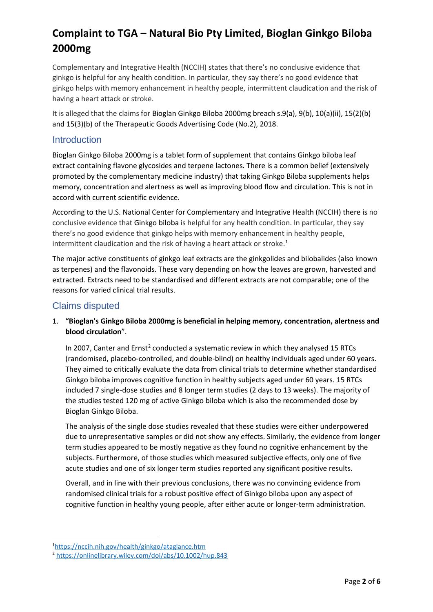Complementary and Integrative Health (NCCIH) states that there's no conclusive evidence that ginkgo is helpful for any health condition. In particular, they say there's no good evidence that ginkgo helps with memory enhancement in healthy people, intermittent claudication and the risk of having a heart attack or stroke.

It is alleged that the claims for Bioglan Ginkgo Biloba 2000mg breach s.9(a), 9(b), 10(a)(ii), 15(2)(b) and 15(3)(b) of the Therapeutic Goods Advertising Code (No.2), 2018.

### **Introduction**

Bioglan Ginkgo Biloba 2000mg is a tablet form of supplement that contains Ginkgo biloba leaf extract containing flavone glycosides and terpene lactones. There is a common belief (extensively promoted by the complementary medicine industry) that taking Ginkgo Biloba supplements helps memory, concentration and alertness as well as improving blood flow and circulation. This is not in accord with current scientific evidence.

According to the U.S. National Center for Complementary and Integrative Health (NCCIH) there is no conclusive evidence that Ginkgo biloba is helpful for any health condition. In particular, they say there's no good evidence that ginkgo helps with memory enhancement in healthy people, intermittent claudication and the risk of having a heart attack or stroke. [1](#page-1-0)

The major active constituents of ginkgo leaf extracts are the ginkgolides and bilobalides (also known as terpenes) and the flavonoids. These vary depending on how the leaves are grown, harvested and extracted. Extracts need to be standardised and different extracts are not comparable; one of the reasons for varied clinical trial results.

### Claims disputed

#### 1. **"Bioglan's Ginkgo Biloba 2000mg is beneficial in helping memory, concentration, alertness and blood circulation**".

In [2](#page-1-1)007, Canter and Ernst<sup>2</sup> conducted a systematic review in which they analysed 15 RTCs (randomised, placebo-controlled, and double-blind) on healthy individuals aged under 60 years. They aimed to critically evaluate the data from clinical trials to determine whether standardised Ginkgo biloba improves cognitive function in healthy subjects aged under 60 years. 15 RTCs included 7 single-dose studies and 8 longer term studies (2 days to 13 weeks). The majority of the studies tested 120 mg of active Ginkgo biloba which is also the recommended dose by Bioglan Ginkgo Biloba.

The analysis of the single dose studies revealed that these studies were either underpowered due to unrepresentative samples or did not show any effects. Similarly, the evidence from longer term studies appeared to be mostly negative as they found no cognitive enhancement by the subjects. Furthermore, of those studies which measured subjective effects, only one of five acute studies and one of six longer term studies reported any significant positive results.

Overall, and in line with their previous conclusions, there was no convincing evidence from randomised clinical trials for a robust positive effect of Ginkgo biloba upon any aspect of cognitive function in healthy young people, after either acute or longer-term administration.

<span id="page-1-0"></span><sup>1</sup> <https://nccih.nih.gov/health/ginkgo/ataglance.htm>

<span id="page-1-1"></span><sup>2</sup> <https://onlinelibrary.wiley.com/doi/abs/10.1002/hup.843>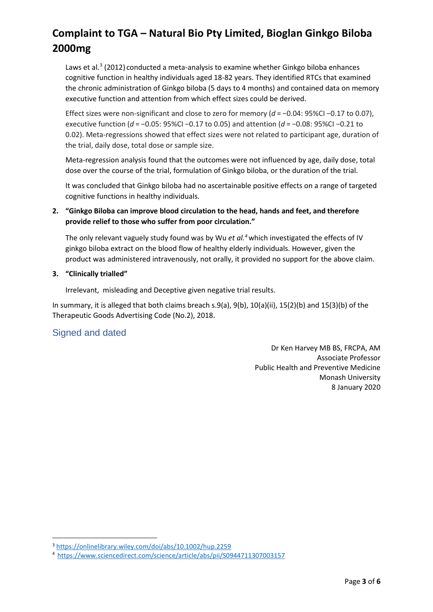Laws et al.<sup>[3](#page-2-0)</sup> (2012) conducted a meta-analysis to examine whether Ginkgo biloba enhances cognitive function in healthy individuals aged 18-82 years. They identified RTCs that examined the chronic administration of Ginkgo biloba (5 days to 4 months) and contained data on memory executive function and attention from which effect sizes could be derived.

Effect sizes were non-significant and close to zero for memory (*d* = −0.04: 95%CI −0.17 to 0.07), executive function (*d* = −0.05: 95%CI −0.17 to 0.05) and attention (*d* = −0.08: 95%CI −0.21 to 0.02). Meta-regressions showed that effect sizes were not related to participant age, duration of the trial, daily dose, total dose or sample size.

Meta-regression analysis found that the outcomes were not influenced by age, daily dose, total dose over the course of the trial, formulation of Ginkgo biloba, or the duration of the trial.

It was concluded that Ginkgo biloba had no ascertainable positive effects on a range of targeted cognitive functions in healthy individuals.

#### **2. "Ginkgo Biloba can improve blood circulation to the head, hands and feet, and therefore provide relief to those who suffer from poor circulation."**

The only relevant vaguely study found was by Wu *et al.[4](#page-2-1)*which investigated the effects of IV ginkgo biloba extract on the blood flow of healthy elderly individuals. However, given the product was administere[d intravenousl](https://www.sciencedirect.com/topics/medicine-and-dentistry/intravenous-drug-administration)y, not orally, it provided no support for the above claim.

#### **3. "Clinically trialled"**

Irrelevant, misleading and Deceptive given negative trial results.

In summary, it is alleged that both claims breach s.9(a), 9(b), 10(a)(ii), 15(2)(b) and 15(3)(b) of the Therapeutic Goods Advertising Code (No.2), 2018.

### Signed and dated

Dr Ken Harvey MB BS, FRCPA, AM Associate Professor Public Health and Preventive Medicine Monash University 8 January 2020

<span id="page-2-0"></span><sup>3</sup> <https://onlinelibrary.wiley.com/doi/abs/10.1002/hup.2259>

<span id="page-2-1"></span><sup>4</sup> <https://www.sciencedirect.com/science/article/abs/pii/S0944711307003157>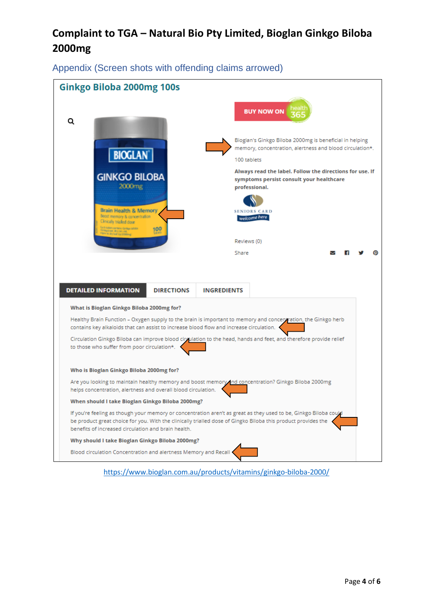Appendix (Screen shots with offending claims arrowed)

| <b>BUY NOW ON</b><br>Q<br>Bioglan's Ginkgo Biloba 2000mg is beneficial in helping<br>memory, concentration, alertness and blood circulation*.<br><b>BIOGLAN</b><br>100 tablets<br>Always read the label. Follow the directions for use. If<br><b>GINKGO BILOBA</b><br>symptoms persist consult your healthcare<br>2000 <sub>mg</sub><br>professional.<br><b>Brain Health &amp; Memory</b><br><b>SENIORS CARD</b><br>Boost memory & concentration<br>welcome here<br>Clinically trialled dose<br>ch tablet sombline Greige bildfin<br>Pringet ave, dry con und<br>Nin te dry laul Jip (2000mg)<br>100<br>Reviews (0)<br>Share<br><b>DIRECTIONS</b><br><b>DETAILED INFORMATION</b><br><b>INGREDIENTS</b><br>What is Bioglan Ginkgo Biloba 2000mg for? |  |  |  |
|-----------------------------------------------------------------------------------------------------------------------------------------------------------------------------------------------------------------------------------------------------------------------------------------------------------------------------------------------------------------------------------------------------------------------------------------------------------------------------------------------------------------------------------------------------------------------------------------------------------------------------------------------------------------------------------------------------------------------------------------------------|--|--|--|
|                                                                                                                                                                                                                                                                                                                                                                                                                                                                                                                                                                                                                                                                                                                                                     |  |  |  |
|                                                                                                                                                                                                                                                                                                                                                                                                                                                                                                                                                                                                                                                                                                                                                     |  |  |  |
|                                                                                                                                                                                                                                                                                                                                                                                                                                                                                                                                                                                                                                                                                                                                                     |  |  |  |
|                                                                                                                                                                                                                                                                                                                                                                                                                                                                                                                                                                                                                                                                                                                                                     |  |  |  |
|                                                                                                                                                                                                                                                                                                                                                                                                                                                                                                                                                                                                                                                                                                                                                     |  |  |  |
|                                                                                                                                                                                                                                                                                                                                                                                                                                                                                                                                                                                                                                                                                                                                                     |  |  |  |
|                                                                                                                                                                                                                                                                                                                                                                                                                                                                                                                                                                                                                                                                                                                                                     |  |  |  |
|                                                                                                                                                                                                                                                                                                                                                                                                                                                                                                                                                                                                                                                                                                                                                     |  |  |  |
| Healthy Brain Function - Oxygen supply to the brain is important to memory and concerviration, the Ginkgo herb<br>contains key alkaloids that can assist to increase blood flow and increase circulation.                                                                                                                                                                                                                                                                                                                                                                                                                                                                                                                                           |  |  |  |
| Circulation Ginkgo Biloba can improve blood circulation to the head, hands and feet, and therefore provide relief<br>to those who suffer from poor circulation*.                                                                                                                                                                                                                                                                                                                                                                                                                                                                                                                                                                                    |  |  |  |
| Who is Bioglan Ginkgo Biloba 2000mg for?                                                                                                                                                                                                                                                                                                                                                                                                                                                                                                                                                                                                                                                                                                            |  |  |  |
| Are you looking to maintain healthy memory and boost memory and concentration? Ginkgo Biloba 2000mg<br>helps concentration, alertness and overall blood circulation.                                                                                                                                                                                                                                                                                                                                                                                                                                                                                                                                                                                |  |  |  |
| When should I take Bioglan Ginkgo Biloba 2000mg?                                                                                                                                                                                                                                                                                                                                                                                                                                                                                                                                                                                                                                                                                                    |  |  |  |
| If you're feeling as though your memory or concentration aren't as great as they used to be, Ginkgo Biloba coupl<br>be product great choice for you. With the clinically trialled dose of Gingko Biloba this product provides the<br>benefits of increased circulation and brain health.                                                                                                                                                                                                                                                                                                                                                                                                                                                            |  |  |  |
| Why should I take Bioglan Ginkgo Biloba 2000mg?                                                                                                                                                                                                                                                                                                                                                                                                                                                                                                                                                                                                                                                                                                     |  |  |  |
| Blood circulation Concentration and alertness Memory and Recall                                                                                                                                                                                                                                                                                                                                                                                                                                                                                                                                                                                                                                                                                     |  |  |  |

<https://www.bioglan.com.au/products/vitamins/ginkgo-biloba-2000/>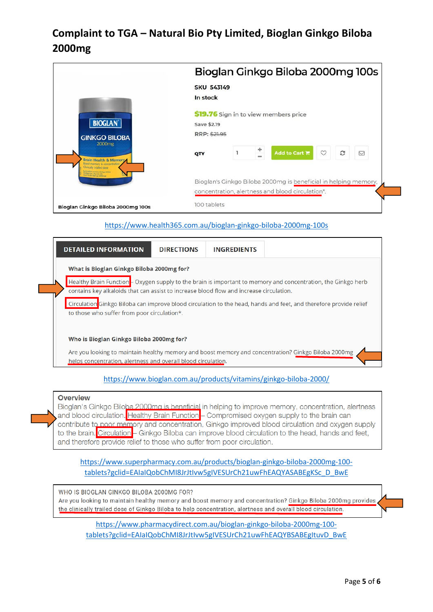|                                                                                                                                | Bioglan Ginkgo Biloba 2000mg 100s                               |
|--------------------------------------------------------------------------------------------------------------------------------|-----------------------------------------------------------------|
|                                                                                                                                | <b>SKU 543149</b>                                               |
|                                                                                                                                | In stock                                                        |
|                                                                                                                                | \$19.76 Sign in to view members price                           |
| <b>BIOGLAN</b>                                                                                                                 | Save \$2.19                                                     |
| <b>GINKGO BILOBA</b><br>2000 <sub>mg</sub>                                                                                     | RRP: \$21.95                                                    |
| Brain Health & Memory<br><b>Boost memory &amp; concentration</b><br>Clinically trialled dose<br>All Mint contains Grape bilder | t<br>Add to Cart 層<br>$\circ$<br>c<br>☑<br>QTY<br>$\frac{1}{2}$ |
| infeart ext. dry con. Vid.<br>there he step lead 2g (2000ma)                                                                   | Bioglan's Ginkgo Biloba 2000mg is beneficial in helping memory, |
|                                                                                                                                | concentration, alertness and blood circulation*.                |
| Bioglan Ginkgo Biloba 2000mg 100s                                                                                              | 100 tablets                                                     |

#### <https://www.health365.com.au/bioglan-ginkgo-biloba-2000mg-100s>



#### <https://www.bioglan.com.au/products/vitamins/ginkgo-biloba-2000/>

#### **Overview**

Bioglan's Ginkgo Biloba 2000ma is beneficial in helping to improve memory, concentration, alertness and blood circulation. Healthy Brain Function - Compromised oxygen supply to the brain can contribute to poor memory and concentration, Ginkgo improved blood circulation and oxygen supply to the brain. Circulation - Ginkgo Biloba can improve blood circulation to the head, hands and feet, and therefore provide relief to those who suffer from poor circulation.

[https://www.superpharmacy.com.au/products/bioglan-ginkgo-biloba-2000mg-100](https://www.superpharmacy.com.au/products/bioglan-ginkgo-biloba-2000mg-100-tablets?gclid=EAIaIQobChMI8JrJtIvw5gIVESUrCh21uwFhEAQYASABEgKSc_D_BwE) [tablets?gclid=EAIaIQobChMI8JrJtIvw5gIVESUrCh21uwFhEAQYASABEgKSc\\_D\\_BwE](https://www.superpharmacy.com.au/products/bioglan-ginkgo-biloba-2000mg-100-tablets?gclid=EAIaIQobChMI8JrJtIvw5gIVESUrCh21uwFhEAQYASABEgKSc_D_BwE)

WHO IS BIOGLAN GINKGO BILOBA 2000MG FOR? Are you looking to maintain healthy memory and boost memory and concentration? Ginkgo Biloba 2000mg provides the clinically trailed dose of Ginkgo Biloba to help concentration, alertness and overall blood circulation.

[https://www.pharmacydirect.com.au/bioglan-ginkgo-biloba-2000mg-100](https://www.pharmacydirect.com.au/bioglan-ginkgo-biloba-2000mg-100-tablets?gclid=EAIaIQobChMI8JrJtIvw5gIVESUrCh21uwFhEAQYBSABEgItuvD_BwE) [tablets?gclid=EAIaIQobChMI8JrJtIvw5gIVESUrCh21uwFhEAQYBSABEgItuvD\\_BwE](https://www.pharmacydirect.com.au/bioglan-ginkgo-biloba-2000mg-100-tablets?gclid=EAIaIQobChMI8JrJtIvw5gIVESUrCh21uwFhEAQYBSABEgItuvD_BwE)